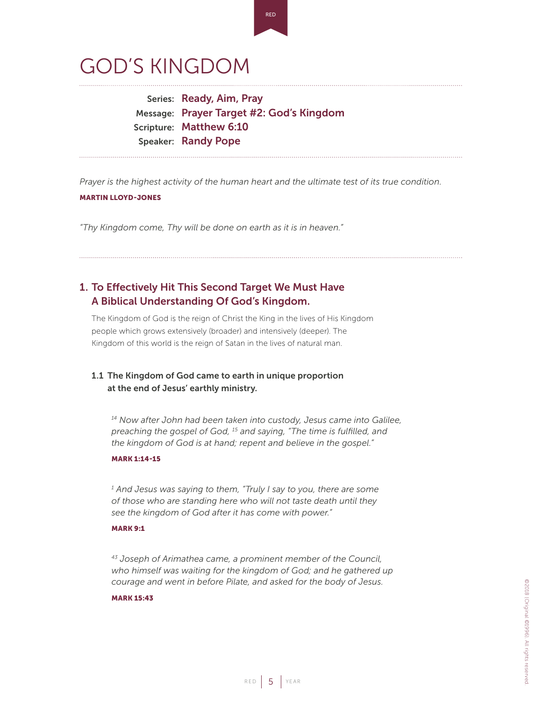# GOD'S KINGDOM

Series: Ready, Aim, Pray Message: Prayer Target #2: God's Kingdom Scripture: Matthew 6:10 Speaker: Randy Pope

*Prayer is the highest activity of the human heart and the ultimate test of its true condition.* MARTIN LLOYD-JONES

*"Thy Kingdom come, Thy will be done on earth as it is in heaven."*

# 1. To Effectively Hit This Second Target We Must Have A Biblical Understanding Of God's Kingdom.

The Kingdom of God is the reign of Christ the King in the lives of His Kingdom people which grows extensively (broader) and intensively (deeper). The Kingdom of this world is the reign of Satan in the lives of natural man.

# 1.1 The Kingdom of God came to earth in unique proportion at the end of Jesus' earthly ministry.

*14 Now after John had been taken into custody, Jesus came into Galilee, preaching the gospel of God, 15 and saying, "The time is fulfilled, and the kingdom of God is at hand; repent and believe in the gospel."*

## MARK 1:14-15

*1 And Jesus was saying to them, "Truly I say to you, there are some of those who are standing here who will not taste death until they see the kingdom of God after it has come with power."*

#### MARK 9:1

*43 Joseph of Arimathea came, a prominent member of the Council, who himself was waiting for the kingdom of God; and he gathered up courage and went in before Pilate, and asked for the body of Jesus.* 

#### MARK 15:43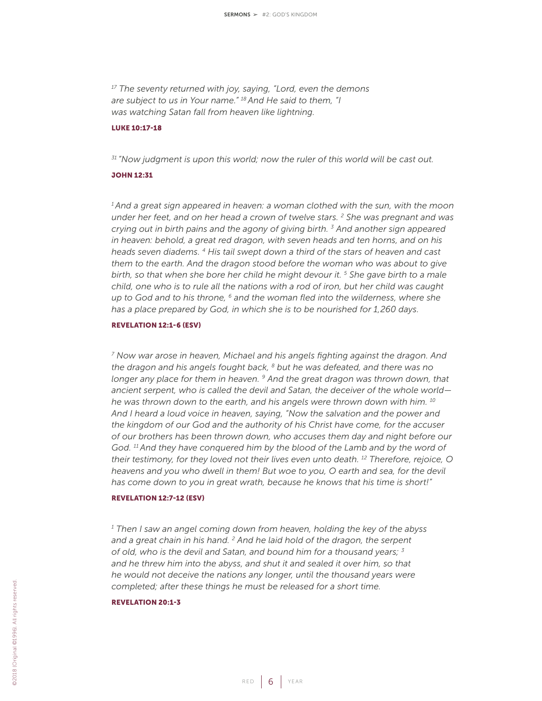*17 The seventy returned with joy, saying, "Lord, even the demons are subject to us in Your name." 18 And He said to them, "I was watching Satan fall from heaven like lightning.*

#### LUKE 10:17-18

*31 "Now judgment is upon this world; now the ruler of this world will be cast out.*

#### JOHN 12:31

*1 And a great sign appeared in heaven: a woman clothed with the sun, with the moon under her feet, and on her head a crown of twelve stars. 2 She was pregnant and was crying out in birth pains and the agony of giving birth. 3 And another sign appeared in heaven: behold, a great red dragon, with seven heads and ten horns, and on his heads seven diadems. 4 His tail swept down a third of the stars of heaven and cast them to the earth. And the dragon stood before the woman who was about to give birth, so that when she bore her child he might devour it. 5 She gave birth to a male child, one who is to rule all the nations with a rod of iron, but her child was caught up to God and to his throne, 6 and the woman fled into the wilderness, where she has a place prepared by God, in which she is to be nourished for 1,260 days.*

#### REVELATION 12:1-6 (ESV)

*7 Now war arose in heaven, Michael and his angels fighting against the dragon. And the dragon and his angels fought back, 8 but he was defeated, and there was no longer any place for them in heaven. 9 And the great dragon was thrown down, that ancient serpent, who is called the devil and Satan, the deceiver of the whole world he was thrown down to the earth, and his angels were thrown down with him. 10 And I heard a loud voice in heaven, saying, "Now the salvation and the power and the kingdom of our God and the authority of his Christ have come, for the accuser of our brothers has been thrown down, who accuses them day and night before our*  God.<sup>11</sup> And they have conquered him by the blood of the Lamb and by the word of *their testimony, for they loved not their lives even unto death. 12 Therefore, rejoice, O heavens and you who dwell in them! But woe to you, O earth and sea, for the devil has come down to you in great wrath, because he knows that his time is short!"*

#### REVELATION 12:7-12 (ESV)

<sup>1</sup> Then I saw an angel coming down from heaven, holding the key of the abyss *and a great chain in his hand. 2 And he laid hold of the dragon, the serpent of old, who is the devil and Satan, and bound him for a thousand years; 3 and he threw him into the abyss, and shut it and sealed it over him, so that he would not deceive the nations any longer, until the thousand years were completed; after these things he must be released for a short time.* 

#### REVELATION 20:1-3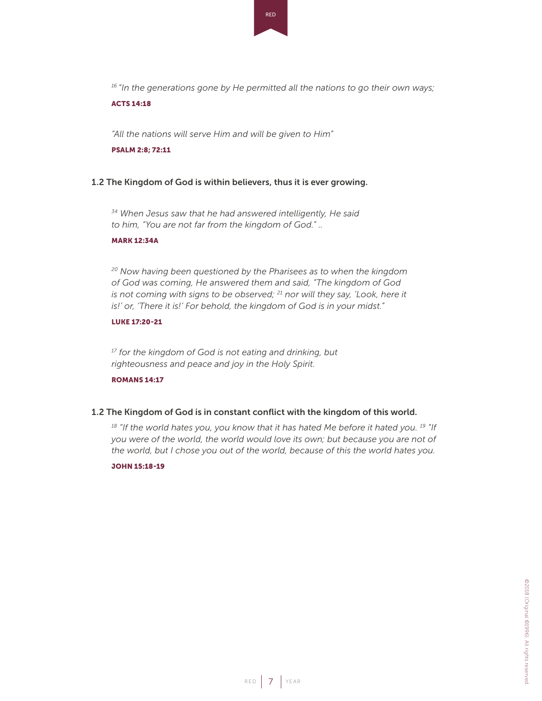RED

*16 "In the generations gone by He permitted all the nations to go their own ways;*

#### ACTS 14:18

*"All the nations will serve Him and will be given to Him"*

#### PSALM 2:8; 72:11

## 1.2 The Kingdom of God is within believers, thus it is ever growing.

*34 When Jesus saw that he had answered intelligently, He said to him, "You are not far from the kingdom of God." ..*

#### MARK 12:34A

*20 Now having been questioned by the Pharisees as to when the kingdom of God was coming, He answered them and said, "The kingdom of God is not coming with signs to be observed; 21 nor will they say, 'Look, here it is!' or, 'There it is!' For behold, the kingdom of God is in your midst."*

## LUKE 17:20-21

*17 for the kingdom of God is not eating and drinking, but righteousness and peace and joy in the Holy Spirit.*

# ROMANS 14:17

## 1.2 The Kingdom of God is in constant conflict with the kingdom of this world.

<sup>18</sup> "If the world hates you, you know that it has hated Me before it hated you.<sup>19</sup> "If *you were of the world, the world would love its own; but because you are not of the world, but I chose you out of the world, because of this the world hates you.*

#### JOHN 15:18-19